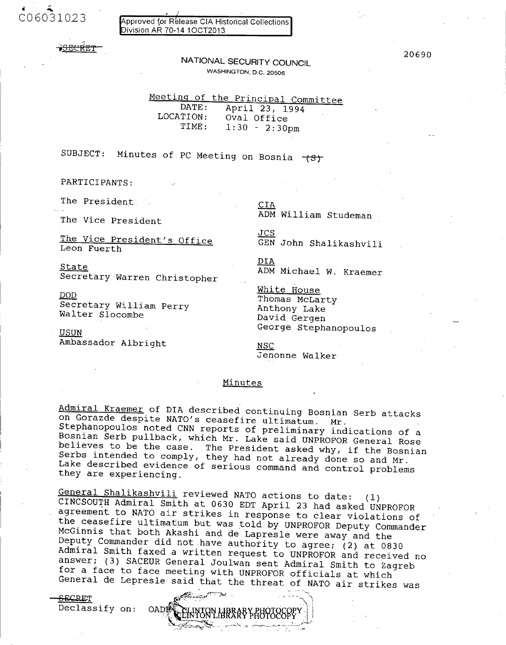C06031023

Approved for Rélease CIA Historical Collections Division AR 70-14 10CT2013

## 20.690 NATIONAL **SECURITY COUNCIL WASHINGTON, D.C. 20506**

Meeting of the Principal Committee<br>DATE: April 23, 1994

DATE: April 23, 1994<br>LOCATION: Oval Office TION: Oval Office<br>TIME: 1:30 - 2:30  $1:30 - 2:30 \text{pm}$ 

SUBJECT: Minutes of PC Meeting on Bosnia  $-$ (3)

PARTICIPANTS:

The President CIA

The Vice President's Office<br>Leon Fuerth

State<br>Secretary Warren Christopher ADM Michael W. Kraemer

 $\begin{array}{ll}\n\underline{\text{DOD}}\\ \text{Secretary William Perry} \\ \text{Walter Slocombe} \\ \text{Walter Slocombe} \end{array} \begin{array}{ll}\n\underline{\text{White House}}\\ \text{Thomas McLarty} \\ \text{Anthony Lake} \\ \text{David Gergen}\n\end{array}$ 

Ambassador Albright NSC

.<br>The Vice President **ADM William Studeman** 

<u>JCS</u><br>GEN John Shalikashvili

DIA

USUN George Stephanopoulos

Jenonne Walker

### Minutes

Admiral Kraemer of DIA described continuing Bosnian Serb attacks<br>on Gorazde despite NATO's ceasefire ultimatum. Mr.<br>Stephanopoulos noted CNN reports of preliminary indications of a<br>Bosnian Serb pullback, which Mr. Lake sai

General Shalikashvili reviewed NATO actions to date: (1)<br>CINCSOUTH Admiral Smith at 0630 EDT April 23 had asked UNPROFOR<br>agreement to NATO air strikes in response to clear violations of<br>the ceasefire ultimatum but was told

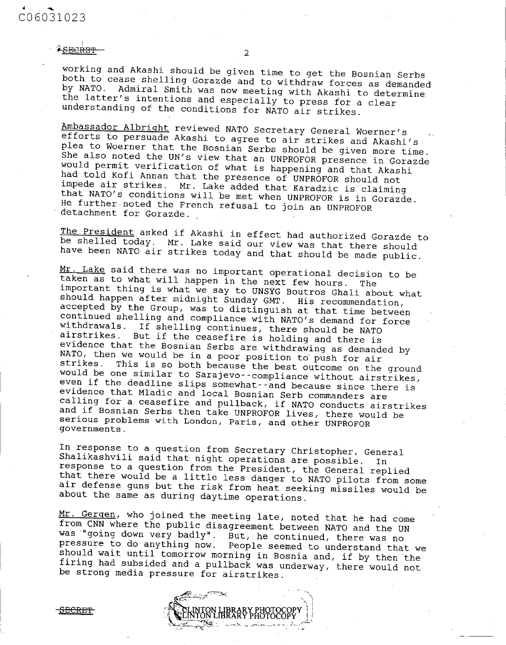working and Akashi should be given time to get the Bosnian Serbs<br>both to cease shelling Gorazde and to withdraw forces as demanded<br>by NATO. Admiral Smith was now meeting with Akashi to determine<br>the latter's intentions and

Ambassador Albright reviewed NATO Secretary General Woerner's<br>efforts to persuade Akashi to agree to air strikes and Akashi's<br>plea to Woerner that the Bosnian Serbs should be given more time.<br>She also noted the UN's view t

**The President asked if Akashi in effect had authorized Gorazde to be shelled today. Mr. Lake said our view was that there should have been NATO air strikes today and that should be made public.**

Mr. Lake said there was no important operational decision to be<br>taken as to what will happen in the next few hours. The<br>important thing is what we say to UNSYG Boutros Ghali about what<br>important thing is what we say to UNS **governments.**

**In response to a question from Secretary Christopher, General Shalikashvili said that night operations are possible. In** that there would be a little less danger to NATO pilots from some<br>air defense guns but the risk from heat seeking missiles would be<br>about the same as during daytime operations.

**Mr. Gergen, who joined the meeting late, noted that he had come from CNN where the public disagreement between NATO and the UN** was "going down very badly". But, he continued, there was no<br>pressure to do anything now. People seemed to understand that we should wait until tomorrow morning in Bosnia and, if by then the<br>firing had subsided and a pullback was underway, there would not<br>be strong media pressure for airstrikes.

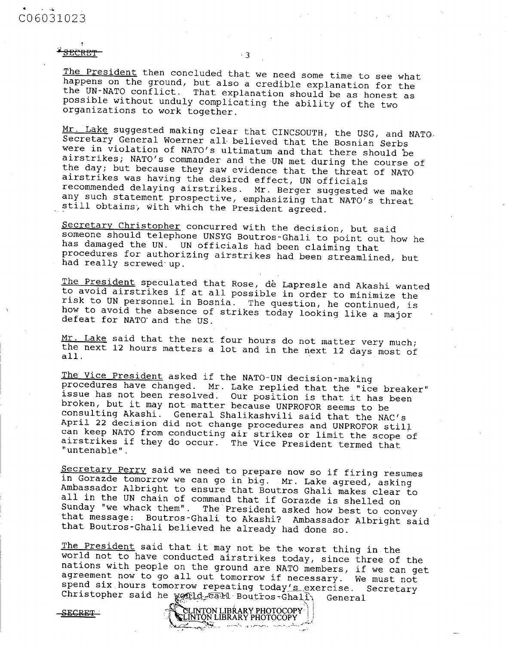# **C06031023**

### SECRET

The President then concluded that we need some time to see what<br>happens on the ground, but also a credible explanation for the<br>the UN-NATO conflict. That explanation should be as honest as<br>possible without unduly complicat

3

Mr. Lake suggested making clear that CINCSOUTH, the USG, and NATO. Secretary General Woerner all believed that the Bosnian Serbs were in violation of NATO's ultimatum and that there should be airstrikes; NATO's commander and the UN met during the course of<br>the day; but because they saw evidence that the threat of NATO<br>airstrikes was having the desired effect, UN officials recommended delaying airstrikes. Mr. Berger suggested we make any such statement prospective, emphasizing that NATO's threat still obtains, with which the President agreed.

Secretary Christopher concurred with the decision, but said<br>someone should telephone UNSYG Boutros-Ghali to point out how he has damaged the UN. UN officials had been claiming that<br>procedures for authorizing airstrikes had been streamlined, but<br>had really screwed up.

The President speculated that Rose, de Lapresle and Akashi wanted<br>to avoid airstrikes if at all possible in order to minimize the<br>risk to UN personnel in Bosnia. The question, he continued, is<br>how to avoid the absence of s

Mr. Lake said that the next four hours do not matter very much;<br>the next 12 hours matters a lot and in the next 12 days most of<br>all.

The Vice President asked if the NATO-UN decision-making<br>procedures have changed. Mr. Lake replied that the "ice breaker"<br>issue has not been resolved. Our position is that it has been<br>broken, but it may not matter because U airstrikes if they do occur. The Vice President termed that "untenable".

Secretary Perry said we need to prepare now so if firing resumes<br>in Gorazde tomorrow we can go in big. Mr. Lake agreed, asking<br>Ambassador Albright to ensure that Boutros Ghali makes clear to<br>all in the UN chain of command

The President said that it may not be the worst thing in the<br>world not to have conducted airstrikes today, since three of the<br>nations with people on the ground are NATO members, if we can get<br>agreement now to go all out to